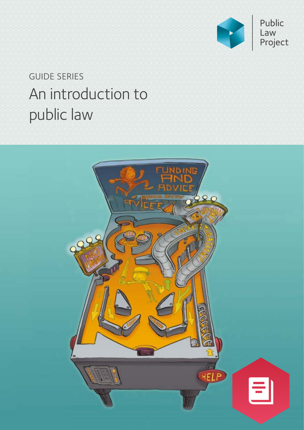

# An introduction to public law GUIDE SERIES

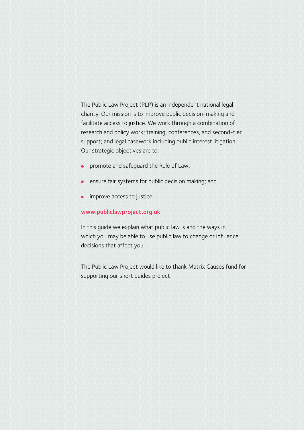The Public Law Project (PLP) is an independent national legal charity. Our mission is to improve public decision-making and facilitate access to justice. We work through a combination of research and policy work; training, conferences, and second-tier support; and legal casework including public interest litigation. Our strategic objectives are to:

- promote and safeguard the Rule of Law;
- **ensure fair systems for public decision making; and**
- improve access to justice.

#### [www.publiclawproject.org.uk](http://www.publiclawproject.org.uk)

In this guide we explain what public law is and the ways in which you may be able to use public law to change or influence decisions that affect you.

The Public Law Project would like to thank Matrix Causes fund for supporting our short guides project.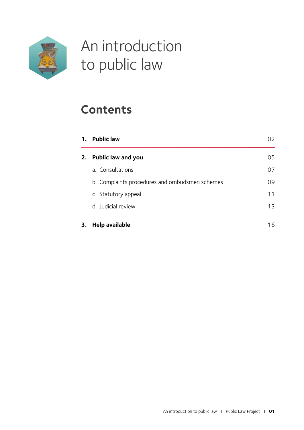

# An introduction to public law

## **Content[s](#page-3-0)**

| 1. | <b>Public law</b>                              | 02 |
|----|------------------------------------------------|----|
| 2. | <b>Public law and you</b>                      | 05 |
|    | a. Consultations                               | 07 |
|    | b. Complaints procedures and ombudsmen schemes | 09 |
|    | c. Statutory appeal                            | 11 |
|    | d. Judicial review                             | 13 |
| 3. | <b>Help available</b>                          | 16 |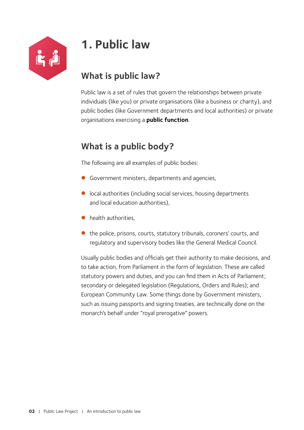<span id="page-3-1"></span>

## <span id="page-3-0"></span>**1. Public law**

### **What is public law?**

Public law is a set of rules that govern the relationships between private individuals (like you) or private organisations (like a business or charity), and public bodies (like Government departments and local authorities) or private organisations exercising a **public function**.

### **What is a public body?**

The following are all examples of public bodies:

- Government ministers, departments and agencies,
- $\bullet$  local authorities (including social services, housing departments and local education authorities),
- $\bullet$  health authorities.
- $\bullet$  the police, prisons, courts, statutory tribunals, coroners' courts, and regulatory and supervisory bodies like the General Medical Council.

Usually public bodies and officials get their authority to make decisions, and to take action, from Parliament in the form of legislation. These are called statutory powers and duties, and you can find them in Acts of Parliament; secondary or delegated legislation (Regulations, Orders and Rules); and European Community Law. Some things done by Government ministers, such as issuing passports and signing treaties, are technically done on the monarch's behalf under "royal prerogative" powers.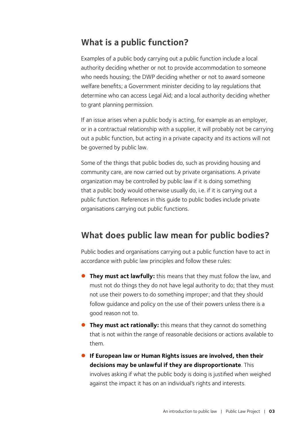### **What is a public function?**

Examples of a public body carrying out a public function include a local authority deciding whether or not to provide accommodation to someone who needs housing; the DWP deciding whether or not to award someone welfare benefits; a Government minister deciding to lay regulations that determine who can access Legal Aid; and a local authority deciding whether to grant planning permission.

If an issue arises when a public body is acting, for example as an employer, or in a contractual relationship with a supplier, it will probably not be carrying out a public function, but acting in a private capacity and its actions will not be governed by public law.

Some of the things that public bodies do, such as providing housing and community care, are now carried out by private organisations. A private organization may be controlled by public law if it is doing something that a public body would otherwise usually do, i.e. if it is carrying out a public function. References in this guide to public bodies include private organisations carrying out public functions.

### **What does public law mean for public bodies?**

Public bodies and organisations carrying out a public function have to act in accordance with public law principles and follow these rules:

- **They must act lawfully:** this means that they must follow the law, and must not do things they do not have legal authority to do; that they must not use their powers to do something improper; and that they should follow guidance and policy on the use of their powers unless there is a good reason not to.
- **They must act rationally:** this means that they cannot do something that is not within the range of reasonable decisions or actions available to them.
- z **If European law or Human Rights issues are involved, then their decisions may be unlawful if they are disproportionate**. This involves asking if what the public body is doing is justified when weighed against the impact it has on an individual's rights and interests.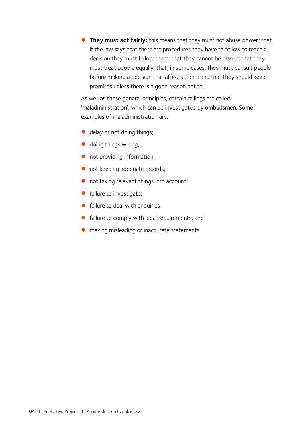**They must act fairly:** this means that they must not abuse power; that if the law says that there are procedures they have to follow to reach a decision they must follow them; that they cannot be biased; that they must treat people equally; that, in some cases, they must consult people before making a decision that affects them; and that they should keep promises unless there is a good reason not to.

As well as these general principles, certain failings are called 'maladministration', which can be investigated by ombudsmen. Some examples of maladministration are:

- **•** delay or not doing things;
- doing things wrong;
- not providing information;
- not keeping adequate records;
- $\bullet$  not taking relevant things into account;
- **•** failure to investigate;
- **•** failure to deal with enquiries;
- failure to comply with legal requirements; and
- $\bullet$  making misleading or inaccurate statements.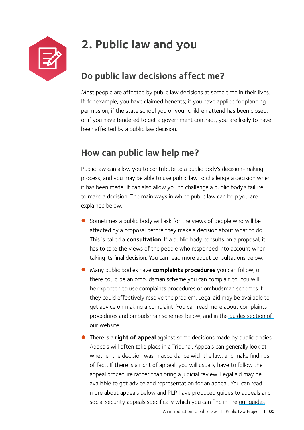<span id="page-6-0"></span>

# **2. Public law and you**

### **Do public law decisions affect me?**

Most people are affected by public law decisions at some time in their lives. If, for example, you have claimed benefits; if you have applied for planning permission; if the state school you or your children attend has been closed; or if you have tendered to get a government contract, you are likely to have been affected by a public law decision.

### **How can public law help me?**

Public law can allow you to contribute to a public body's decision-making process, and you may be able to use public law to challenge a decision when it has been made. It can also allow you to challenge a public body's failure to make a decision. The main ways in which public law can help you are explained below.

- Sometimes a public body will ask for the views of people who will be affected by a proposal before they make a decision about what to do. This is called a **consultation**. If a public body consults on a proposal, it has to take the views of the people who responded into account when taking its final decision. You can read more about consultations below.
- z Many public bodies have **complaints procedures** you can follow, or there could be an ombudsman scheme you can complain to. You will be expected to use complaints procedures or ombudsman schemes if they could effectively resolve the problem. Legal aid may be available to get advice on making a complaint. You can read more about complaints procedures and ombudsman schemes below, and in th[e guides](https://plp.gn.apc.org/resource_categories/guides/
) section of our website.
- z There is a **right of appeal** against some decisions made by public bodies. Appeals will often take place in a Tribunal. Appeals can generally look at whether the decision was in accordance with the law, and make findings of fact. If there is a right of appeal, you will usually have to follow the appeal procedure rather than bring a judicial review. Legal aid may be available to get advice and representation for an appeal. You can read more about appeals below and PLP have produced guides to appeals and social security appeals specifically which you can find in the [our guides](https://plp.gn.apc.org/resource_categories/guides/
)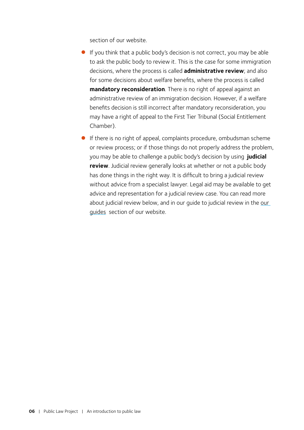section of our website.

- $\bullet$  If you think that a public body's decision is not correct, you may be able to ask the public body to review it. This is the case for some immigration decisions, where the process is called **administrative review**; and also for some decisions about welfare benefits, where the process is called **mandatory reconsideration**. There is no right of appeal against an administrative review of an immigration decision. However, if a welfare benefits decision is still incorrect after mandatory reconsideration, you may have a right of appeal to the First Tier Tribunal (Social Entitlement Chamber).
- **•** If there is no right of appeal, complaints procedure, ombudsman scheme or review process; or if those things do not properly address the problem, you may be able to challenge a public body's decision by using **judicial review**. Judicial review generally looks at whether or not a public body has done things in the right way. It is difficult to bring a judicial review without advice from a specialist lawyer. Legal aid may be available to get advice and representation for a judicial review case. You can read more about judicial review below, and in our guide to judicial review in the [our](https://plp.gn.apc.org/resource_categories/guides/
)  [guides](https://plp.gn.apc.org/resource_categories/guides/
) section of our website.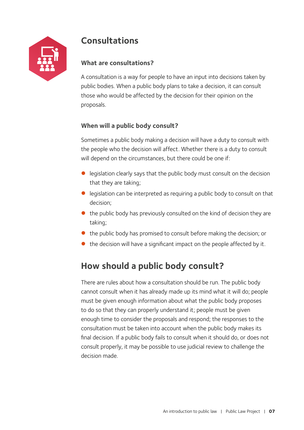<span id="page-8-0"></span>

### **Consultations**

#### **What are consultations?**

A consultation is a way for people to have an input into decisions taken by public bodies. When a public body plans to take a decision, it can consult those who would be affected by the decision for their opinion on the proposals.

#### **When will a public body consult?**

Sometimes a public body making a decision will have a duty to consult with the people who the decision will affect. Whether there is a duty to consult will depend on the circumstances, but there could be one if:

- $\bullet$  legislation clearly says that the public body must consult on the decision that they are taking;
- $\bullet$  legislation can be interpreted as requiring a public body to consult on that decision;
- $\bullet$  the public body has previously consulted on the kind of decision they are taking;
- $\bullet$  the public body has promised to consult before making the decision; or
- $\bullet$  the decision will have a significant impact on the people affected by it.

### **How should a public body consult?**

There are rules about how a consultation should be run. The public body cannot consult when it has already made up its mind what it will do; people must be given enough information about what the public body proposes to do so that they can properly understand it; people must be given enough time to consider the proposals and respond; the responses to the consultation must be taken into account when the public body makes its final decision. If a public body fails to consult when it should do, or does not consult properly, it may be possible to use judicial review to challenge the decision made.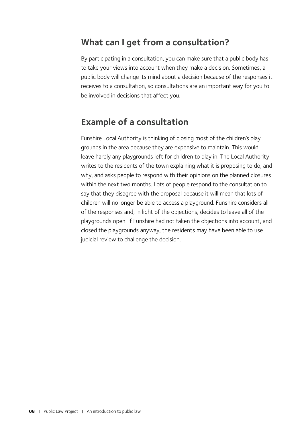### **What can I get from a consultation?**

By participating in a consultation, you can make sure that a public body has to take your views into account when they make a decision. Sometimes, a public body will change its mind about a decision because of the responses it receives to a consultation, so consultations are an important way for you to be involved in decisions that affect you.

### **Example of a consultation**

Funshire Local Authority is thinking of closing most of the children's play grounds in the area because they are expensive to maintain. This would leave hardly any playgrounds left for children to play in. The Local Authority writes to the residents of the town explaining what it is proposing to do, and why, and asks people to respond with their opinions on the planned closures within the next two months. Lots of people respond to the consultation to say that they disagree with the proposal because it will mean that lots of children will no longer be able to access a playground. Funshire considers all of the responses and, in light of the objections, decides to leave all of the playgrounds open. If Funshire had not taken the objections into account, and closed the playgrounds anyway, the residents may have been able to use judicial review to challenge the decision.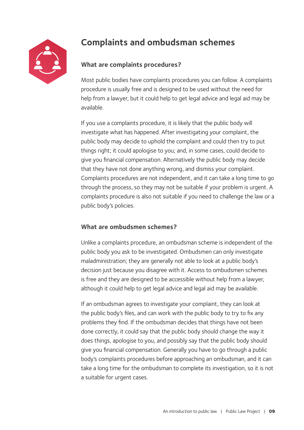<span id="page-10-0"></span>

### **Complaints and ombudsman schemes**

#### **What are complaints procedures?**

Most public bodies have complaints procedures you can follow. A complaints procedure is usually free and is designed to be used without the need for help from a lawyer, but it could help to get legal advice and legal aid may be available.

If you use a complaints procedure, it is likely that the public body will investigate what has happened. After investigating your complaint, the public body may decide to uphold the complaint and could then try to put things right; it could apologise to you; and, in some cases, could decide to give you financial compensation. Alternatively the public body may decide that they have not done anything wrong, and dismiss your complaint. Complaints procedures are not independent, and it can take a long time to go through the process, so they may not be suitable if your problem is urgent. A complaints procedure is also not suitable if you need to challenge the law or a public body's policies.

#### **What are ombudsmen schemes?**

Unlike a complaints procedure, an ombudsman scheme is independent of the public body you ask to be investigated. Ombudsmen can only investigate maladministration; they are generally not able to look at a public body's decision just because you disagree with it. Access to ombudsmen schemes is free and they are designed to be accessible without help from a lawyer, although it could help to get legal advice and legal aid may be available.

If an ombudsman agrees to investigate your complaint, they can look at the public body's files, and can work with the public body to try to fix any problems they find. If the ombudsman decides that things have not been done correctly, it could say that the public body should change the way it does things, apologise to you, and possibly say that the public body should give you financial compensation. Generally you have to go through a public body's complaints procedures before approaching an ombudsman, and it can take a long time for the ombudsman to complete its investigation, so it is not a suitable for urgent cases.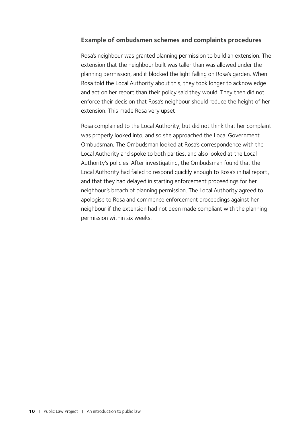#### **Example of ombudsmen schemes and complaints procedures**

Rosa's neighbour was granted planning permission to build an extension. The extension that the neighbour built was taller than was allowed under the planning permission, and it blocked the light falling on Rosa's garden. When Rosa told the Local Authority about this, they took longer to acknowledge and act on her report than their policy said they would. They then did not enforce their decision that Rosa's neighbour should reduce the height of her extension. This made Rosa very upset.

Rosa complained to the Local Authority, but did not think that her complaint was properly looked into, and so she approached the Local Government Ombudsman. The Ombudsman looked at Rosa's correspondence with the Local Authority and spoke to both parties, and also looked at the Local Authority's policies. After investigating, the Ombudsman found that the Local Authority had failed to respond quickly enough to Rosa's initial report, and that they had delayed in starting enforcement proceedings for her neighbour's breach of planning permission. The Local Authority agreed to apologise to Rosa and commence enforcement proceedings against her neighbour if the extension had not been made compliant with the planning permission within six weeks.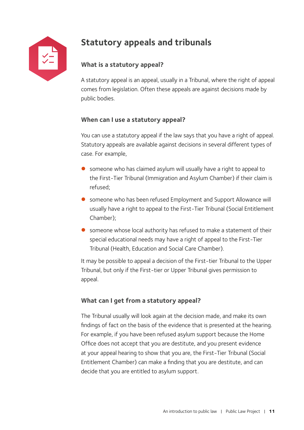

### **Statutory appeals and tribunals**

#### **What is a statutory appeal?**

A statutory appeal is an appeal, usually in a Tribunal, where the right of appeal comes from legislation. Often these appeals are against decisions made by public bodies.

#### **When can I use a statutory appeal?**

You can use a statutory appeal if the law says that you have a right of appeal. Statutory appeals are available against decisions in several different types of case. For example,

- $\bullet$  someone who has claimed asylum will usually have a right to appeal to the First-Tier Tribunal (Immigration and Asylum Chamber) if their claim is refused;
- someone who has been refused Employment and Support Allowance will usually have a right to appeal to the First-Tier Tribunal (Social Entitlement Chamber);
- $\bullet$  someone whose local authority has refused to make a statement of their special educational needs may have a right of appeal to the First-Tier Tribunal (Health, Education and Social Care Chamber).

It may be possible to appeal a decision of the First-tier Tribunal to the Upper Tribunal, but only if the First-tier or Upper Tribunal gives permission to appeal.

#### **What can I get from a statutory appeal?**

The Tribunal usually will look again at the decision made, and make its own findings of fact on the basis of the evidence that is presented at the hearing. For example, if you have been refused asylum support because the Home Office does not accept that you are destitute, and you present evidence at your appeal hearing to show that you are, the First-Tier Tribunal (Social Entitlement Chamber) can make a finding that you are destitute, and can decide that you are entitled to asylum support.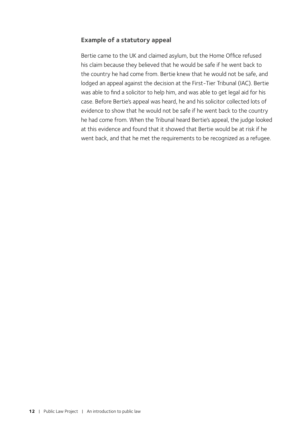#### **Example of a statutory appeal**

Bertie came to the UK and claimed asylum, but the Home Office refused his claim because they believed that he would be safe if he went back to the country he had come from. Bertie knew that he would not be safe, and lodged an appeal against the decision at the First-Tier Tribunal (IAC). Bertie was able to find a solicitor to help him, and was able to get legal aid for his case. Before Bertie's appeal was heard, he and his solicitor collected lots of evidence to show that he would not be safe if he went back to the country he had come from. When the Tribunal heard Bertie's appeal, the judge looked at this evidence and found that it showed that Bertie would be at risk if he went back, and that he met the requirements to be recognized as a refugee.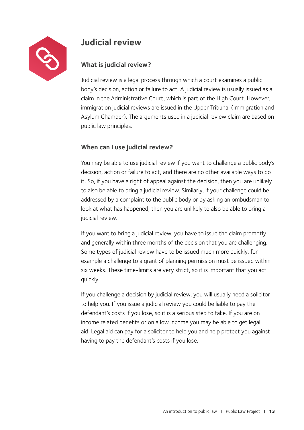<span id="page-14-0"></span>

### **Judicial review**

#### **What is judicial review?**

Judicial review is a legal process through which a court examines a public body's decision, action or failure to act. A judicial review is usually issued as a claim in the Administrative Court, which is part of the High Court. However, immigration judicial reviews are issued in the Upper Tribunal (Immigration and Asylum Chamber). The arguments used in a judicial review claim are based on public law principles.

#### **When can I use judicial review?**

You may be able to use judicial review if you want to challenge a public body's decision, action or failure to act, and there are no other available ways to do it. So, if you have a right of appeal against the decision, then you are unlikely to also be able to bring a judicial review. Similarly, if your challenge could be addressed by a complaint to the public body or by asking an ombudsman to look at what has happened, then you are unlikely to also be able to bring a judicial review.

If you want to bring a judicial review, you have to issue the claim promptly and generally within three months of the decision that you are challenging. Some types of judicial review have to be issued much more quickly, for example a challenge to a grant of planning permission must be issued within six weeks. These time-limits are very strict, so it is important that you act quickly.

If you challenge a decision by judicial review, you will usually need a solicitor to help you. If you issue a judicial review you could be liable to pay the defendant's costs if you lose, so it is a serious step to take. If you are on income related benefits or on a low income you may be able to get legal aid. Legal aid can pay for a solicitor to help you and help protect you against having to pay the defendant's costs if you lose.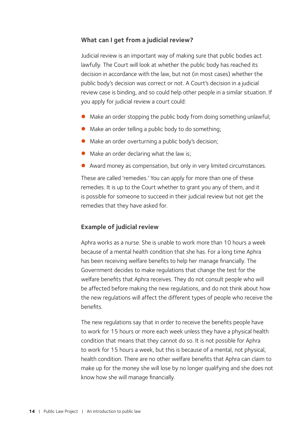#### **What can I get from a judicial review?**

Judicial review is an important way of making sure that public bodies act lawfully. The Court will look at whether the public body has reached its decision in accordance with the law, but not (in most cases) whether the public body's decision was correct or not. A Court's decision in a judicial review case is binding, and so could help other people in a similar situation. If you apply for judicial review a court could:

- Make an order stopping the public body from doing something unlawful;
- $\bullet$  Make an order telling a public body to do something;
- $\bullet$  Make an order overturning a public body's decision;
- Make an order declaring what the law is;
- Award money as compensation, but only in very limited circumstances.

These are called 'remedies.' You can apply for more than one of these remedies. It is up to the Court whether to grant you any of them, and it is possible for someone to succeed in their judicial review but not get the remedies that they have asked for.

#### **Example of judicial review**

Aphra works as a nurse. She is unable to work more than 10 hours a week because of a mental health condition that she has. For a long time Aphra has been receiving welfare benefits to help her manage financially. The Government decides to make regulations that change the test for the welfare benefits that Aphra receives. They do not consult people who will be affected before making the new regulations, and do not think about how the new regulations will affect the different types of people who receive the benefits.

The new regulations say that in order to receive the benefits people have to work for 15 hours or more each week unless they have a physical health condition that means that they cannot do so. It is not possible for Aphra to work for 15 hours a week, but this is because of a mental, not physical, health condition. There are no other welfare benefits that Aphra can claim to make up for the money she will lose by no longer qualifying and she does not know how she will manage financially.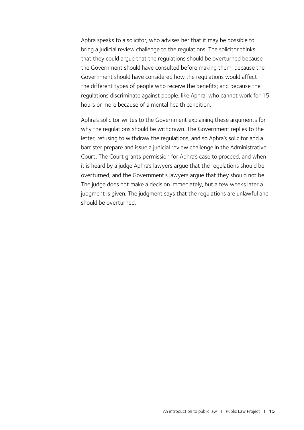Aphra speaks to a solicitor, who advises her that it may be possible to bring a judicial review challenge to the regulations. The solicitor thinks that they could argue that the regulations should be overturned because the Government should have consulted before making them; because the Government should have considered how the regulations would affect the different types of people who receive the benefits; and because the regulations discriminate against people, like Aphra, who cannot work for 15 hours or more because of a mental health condition.

Aphra's solicitor writes to the Government explaining these arguments for why the regulations should be withdrawn. The Government replies to the letter, refusing to withdraw the regulations, and so Aphra's solicitor and a barrister prepare and issue a judicial review challenge in the Administrative Court. The Court grants permission for Aphra's case to proceed, and when it is heard by a judge Aphra's lawyers argue that the regulations should be overturned, and the Government's lawyers argue that they should not be. The judge does not make a decision immediately, but a few weeks later a judgment is given. The judgment says that the regulations are unlawful and should be overturned.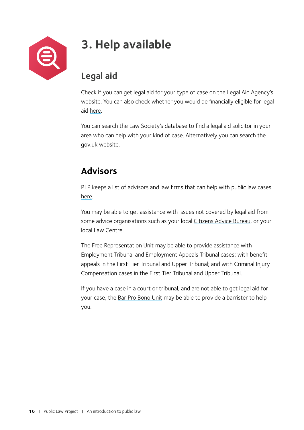<span id="page-17-0"></span>

# **3. Help available**

### **Legal aid**

Check if you can get legal aid for your type of case on the [Legal Aid Agency's](https://www.gov.uk/check-legal-aid)  [website](https://www.gov.uk/check-legal-aid). You can also check whether you would be financially eligible for legal aid [here](http://civil-eligibility-calculator.justice.gov.uk/).

You can search the [Law Society's database](http://solicitors.lawsociety.org.uk/) to find a legal aid solicitor in your area who can help with your kind of case. Alternatively you can search the [gov.uk website](https://find-legal-advice.justice.gov.uk/).

### **Advisors**

PLP keeps a list of advisors and law firms that can help with public law cases [here](https://publiclawproject.org.uk/wp-content/uploads/2018/05/Signpost.pdf).

You may be able to get assistance with issues not covered by legal aid from some advice organisations such as your local [Citizens Advice Bureau,](https://www.citizensadvice.org.uk/) or your local [Law Centre.](http://www.lawcentres.org.uk/)

The [Free Representation Unit](http://www.thefru.org.uk/) may be able to provide assistance with Employment Tribunal and Employment Appeals Tribunal cases; with benefit appeals in the First Tier Tribunal and Upper Tribunal; and with Criminal Injury Compensation cases in the First Tier Tribunal and Upper Tribunal.

If you have a case in a court or tribunal, and are not able to get legal aid for your case, the [Bar Pro Bono Unit](https://www.barprobono.org.uk/) may be able to provide a barrister to help you.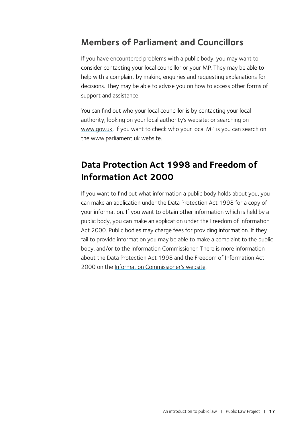### **Members of Parliament and Councillors**

If you have encountered problems with a public body, you may want to consider contacting your local councillor or your MP. They may be able to help with a complaint by making enquiries and requesting explanations for decisions. They may be able to advise you on how to access other forms of support and assistance.

You can find out who your local councillor is by contacting your local authority; looking on your local authority's website; or searching on www.[gov.uk](https://www.gov.uk/find-your-local-councillors). If you want to check who your local MP is you can search on th[e www.parliament.uk](https://www.parliament.uk/mps-lords-and-offices/mps/) website.

### **Data Protection Act 1998 and Freedom of Information Act 2000**

If you want to find out what information a public body holds about you, you can make an application under the Data Protection Act 1998 for a copy of your information. If you want to obtain other information which is held by a public body, you can make an application under the Freedom of Information Act 2000. Public bodies may charge fees for providing information. If they fail to provide information you may be able to make a complaint to the public body, and/or to the Information Commissioner. There is more information about the Data Protection Act 1998 and the Freedom of Information Act 2000 on the [Information Commissioner's website.](https://ico.org.uk/)